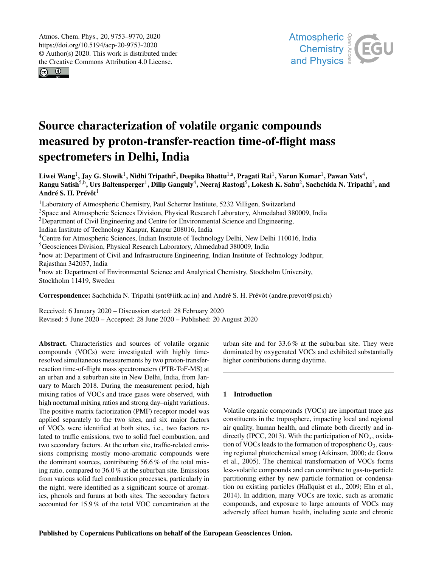$\circledcirc$   $\circledcirc$ 



# Source characterization of volatile organic compounds measured by proton-transfer-reaction time-of-flight mass spectrometers in Delhi, India

Liwei Wang $^1$ , Jay G. Slowik $^1$ , Nidhi Tripathi $^2$ , Deepika Bhattu $^{1,a}$ , Pragati Rai $^1$ , Varun Kumar $^1$ , Pawan Vats $^4$ , Rangu Satish<sup>5,b</sup>, Urs Baltensperger<sup>1</sup>, Dilip Ganguly<sup>4</sup>, Neeraj Rastogi<sup>5</sup>, Lokesh K. Sahu<sup>2</sup>, Sachchida N. Tripathi<sup>3</sup>, and André S. H. Prévôt<sup>1</sup>

<sup>1</sup>Laboratory of Atmospheric Chemistry, Paul Scherrer Institute, 5232 Villigen, Switzerland <sup>2</sup>Space and Atmospheric Sciences Division, Physical Research Laboratory, Ahmedabad 380009, India <sup>3</sup>Department of Civil Engineering and Centre for Environmental Science and Engineering, Indian Institute of Technology Kanpur, Kanpur 208016, India <sup>4</sup>Centre for Atmospheric Sciences, Indian Institute of Technology Delhi, New Delhi 110016, India <sup>5</sup>Geosciences Division, Physical Research Laboratory, Ahmedabad 380009, India anow at: Department of Civil and Infrastructure Engineering, Indian Institute of Technology Jodhpur, Rajasthan 342037, India <sup>b</sup>now at: Department of Environmental Science and Analytical Chemistry, Stockholm University, Stockholm 11419, Sweden

Correspondence: Sachchida N. Tripathi (snt@iitk.ac.in) and André S. H. Prévôt (andre.prevot@psi.ch)

Received: 6 January 2020 – Discussion started: 28 February 2020 Revised: 5 June 2020 – Accepted: 28 June 2020 – Published: 20 August 2020

Abstract. Characteristics and sources of volatile organic compounds (VOCs) were investigated with highly timeresolved simultaneous measurements by two proton-transferreaction time-of-flight mass spectrometers (PTR-ToF-MS) at an urban and a suburban site in New Delhi, India, from January to March 2018. During the measurement period, high mixing ratios of VOCs and trace gases were observed, with high nocturnal mixing ratios and strong day–night variations. The positive matrix factorization (PMF) receptor model was applied separately to the two sites, and six major factors of VOCs were identified at both sites, i.e., two factors related to traffic emissions, two to solid fuel combustion, and two secondary factors. At the urban site, traffic-related emissions comprising mostly mono-aromatic compounds were the dominant sources, contributing 56.6 % of the total mixing ratio, compared to 36.0 % at the suburban site. Emissions from various solid fuel combustion processes, particularly in the night, were identified as a significant source of aromatics, phenols and furans at both sites. The secondary factors accounted for 15.9 % of the total VOC concentration at the

urban site and for 33.6 % at the suburban site. They were dominated by oxygenated VOCs and exhibited substantially higher contributions during daytime.

# 1 Introduction

Volatile organic compounds (VOCs) are important trace gas constituents in the troposphere, impacting local and regional air quality, human health, and climate both directly and indirectly (IPCC, 2013). With the participation of  $NO<sub>x</sub>$ , oxidation of VOCs leads to the formation of tropospheric  $O_3$ , causing regional photochemical smog (Atkinson, 2000; de Gouw et al., 2005). The chemical transformation of VOCs forms less-volatile compounds and can contribute to gas-to-particle partitioning either by new particle formation or condensation on existing particles (Hallquist et al., 2009; Ehn et al., 2014). In addition, many VOCs are toxic, such as aromatic compounds, and exposure to large amounts of VOCs may adversely affect human health, including acute and chronic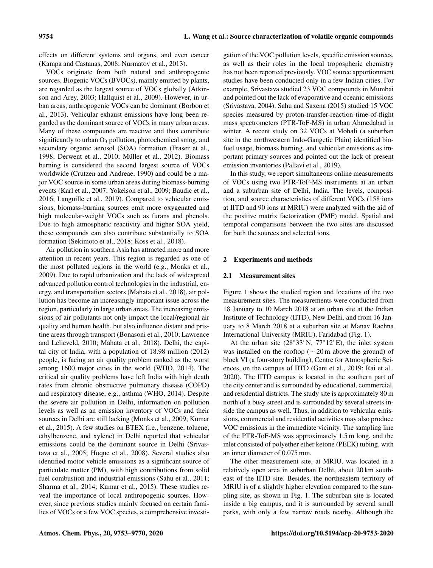effects on different systems and organs, and even cancer (Kampa and Castanas, 2008; Nurmatov et al., 2013).

VOCs originate from both natural and anthropogenic sources. Biogenic VOCs (BVOCs), mainly emitted by plants, are regarded as the largest source of VOCs globally (Atkinson and Arey, 2003; Hallquist et al., 2009). However, in urban areas, anthropogenic VOCs can be dominant (Borbon et al., 2013). Vehicular exhaust emissions have long been regarded as the dominant source of VOCs in many urban areas. Many of these compounds are reactive and thus contribute significantly to urban O<sub>3</sub> pollution, photochemical smog, and secondary organic aerosol (SOA) formation (Fraser et al., 1998; Derwent et al., 2010; Müller et al., 2012). Biomass burning is considered the second largest source of VOCs worldwide (Crutzen and Andreae, 1990) and could be a major VOC source in some urban areas during biomass-burning events (Karl et al., 2007; Yokelson et al., 2009; Baudic et al., 2016; Languille et al., 2019). Compared to vehicular emissions, biomass-burning sources emit more oxygenated and high molecular-weight VOCs such as furans and phenols. Due to high atmospheric reactivity and higher SOA yield, these compounds can also contribute substantially to SOA formation (Sekimoto et al., 2018; Koss et al., 2018).

Air pollution in southern Asia has attracted more and more attention in recent years. This region is regarded as one of the most polluted regions in the world (e.g., Monks et al., 2009). Due to rapid urbanization and the lack of widespread advanced pollution control technologies in the industrial, energy, and transportation sectors (Mahata et al., 2018), air pollution has become an increasingly important issue across the region, particularly in large urban areas. The increasing emissions of air pollutants not only impact the local/regional air quality and human health, but also influence distant and pristine areas through transport (Bonasoni et al., 2010; Lawrence and Lelieveld, 2010; Mahata et al., 2018). Delhi, the capital city of India, with a population of 18.98 million (2012) people, is facing an air quality problem ranked as the worst among 1600 major cities in the world (WHO, 2014). The critical air quality problems have left India with high death rates from chronic obstructive pulmonary disease (COPD) and respiratory disease, e.g., asthma (WHO, 2014). Despite the severe air pollution in Delhi, information on pollution levels as well as an emission inventory of VOCs and their sources in Delhi are still lacking (Monks et al., 2009; Kumar et al., 2015). A few studies on BTEX (i.e., benzene, toluene, ethylbenzene, and xylene) in Delhi reported that vehicular emissions could be the dominant source in Delhi (Srivastava et al., 2005; Hoque et al., 2008). Several studies also identified motor vehicle emissions as a significant source of particulate matter (PM), with high contributions from solid fuel combustion and industrial emissions (Sahu et al., 2011; Sharma et al., 2014; Kumar et al., 2015). These studies reveal the importance of local anthropogenic sources. However, since previous studies mainly focused on certain families of VOCs or a few VOC species, a comprehensive investigation of the VOC pollution levels, specific emission sources, as well as their roles in the local tropospheric chemistry has not been reported previously. VOC source apportionment studies have been conducted only in a few Indian cities. For example, Srivastava studied 23 VOC compounds in Mumbai and pointed out the lack of evaporative and oceanic emissions (Srivastava, 2004). Sahu and Saxena (2015) studied 15 VOC species measured by proton-transfer-reaction time-of-flight mass spectrometers (PTR-ToF-MS) in urban Ahmedabad in winter. A recent study on 32 VOCs at Mohali (a suburban site in the northwestern Indo-Gangetic Plain) identified biofuel usage, biomass burning, and vehicular emissions as important primary sources and pointed out the lack of present emission inventories (Pallavi et al., 2019).

In this study, we report simultaneous online measurements of VOCs using two PTR-ToF-MS instruments at an urban and a suburban site of Delhi, India. The levels, composition, and source characteristics of different VOCs (158 ions at IITD and 90 ions at MRIU) were analyzed with the aid of the positive matrix factorization (PMF) model. Spatial and temporal comparisons between the two sites are discussed for both the sources and selected ions.

## 2 Experiments and methods

#### 2.1 Measurement sites

Figure 1 shows the studied region and locations of the two measurement sites. The measurements were conducted from 18 January to 10 March 2018 at an urban site at the Indian Institute of Technology (IITD), New Delhi, and from 16 January to 8 March 2018 at a suburban site at Manav Rachna International University (MRIU), Faridabad (Fig. 1).

At the urban site  $(28°33' N, 77°12' E)$ , the inlet system was installed on the rooftop ( $\sim$  20 m above the ground) of block VI (a four-story building), Centre for Atmospheric Sciences, on the campus of IITD (Gani et al., 2019; Rai et al., 2020). The IITD campus is located in the southern part of the city center and is surrounded by educational, commercial, and residential districts. The study site is approximately 80 m north of a busy street and is surrounded by several streets inside the campus as well. Thus, in addition to vehicular emissions, commercial and residential activities may also produce VOC emissions in the immediate vicinity. The sampling line of the PTR-ToF-MS was approximately 1.5 m long, and the inlet consisted of polyether ether ketone (PEEK) tubing, with an inner diameter of 0.075 mm.

The other measurement site, at MRIU, was located in a relatively open area in suburban Delhi, about 20 km southeast of the IITD site. Besides, the northeastern territory of MRIU is of a slightly higher elevation compared to the sampling site, as shown in Fig. 1. The suburban site is located inside a big campus, and it is surrounded by several small parks, with only a few narrow roads nearby. Although the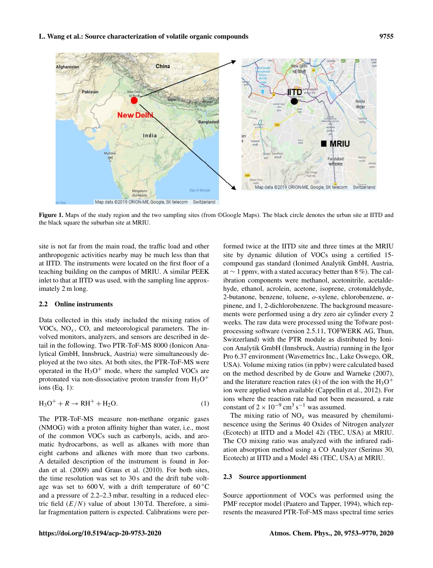

Figure 1. Maps of the study region and the two sampling sites (from ©Google Maps). The black circle denotes the urban site at IITD and the black square the suburban site at MRIU.

site is not far from the main road, the traffic load and other anthropogenic activities nearby may be much less than that at IITD. The instruments were located on the first floor of a teaching building on the campus of MRIU. A similar PEEK inlet to that at IITD was used, with the sampling line approximately 2 m long.

## 2.2 Online instruments

Data collected in this study included the mixing ratios of VOCs,  $NO<sub>x</sub>$ , CO, and meteorological parameters. The involved monitors, analyzers, and sensors are described in detail in the following. Two PTR-ToF-MS 8000 (Ionicon Analytical GmbH, Innsbruck, Austria) were simultaneously deployed at the two sites. At both sites, the PTR-ToF-MS were operated in the  $H_3O^+$  mode, where the sampled VOCs are protonated via non-dissociative proton transfer from  $H_3O^+$ ions (Eq. 1):

$$
H_3O^+ + R \rightarrow RH^+ + H_2O. \tag{1}
$$

The PTR-ToF-MS measure non-methane organic gases (NMOG) with a proton affinity higher than water, i.e., most of the common VOCs such as carbonyls, acids, and aromatic hydrocarbons, as well as alkanes with more than eight carbons and alkenes with more than two carbons. A detailed description of the instrument is found in Jordan et al. (2009) and Graus et al. (2010). For both sites, the time resolution was set to 30 s and the drift tube voltage was set to 600 V, with a drift temperature of  $60^{\circ}$ C and a pressure of 2.2–2.3 mbar, resulting in a reduced electric field  $(E/N)$  value of about 130 Td. Therefore, a similar fragmentation pattern is expected. Calibrations were per-

formed twice at the IITD site and three times at the MRIU site by dynamic dilution of VOCs using a certified 15 compound gas standard (Ionimed Analytik GmbH, Austria, at ∼ 1 ppmv, with a stated accuracy better than 8 %). The calibration components were methanol, acetonitrile, acetaldehyde, ethanol, acrolein, acetone, isoprene, crotonaldehyde, 2-butanone, benzene, toluene,  $o$ -xylene, chlorobenzene,  $\alpha$ pinene, and 1, 2-dichlorobenzene. The background measurements were performed using a dry zero air cylinder every 2 weeks. The raw data were processed using the Tofware postprocessing software (version 2.5.11, TOFWERK AG, Thun, Switzerland) with the PTR module as distributed by Ionicon Analytik GmbH (Innsbruck, Austria) running in the Igor Pro 6.37 environment (Wavemetrics Inc., Lake Oswego, OR, USA). Volume mixing ratios (in ppbv) were calculated based on the method described by de Gouw and Warneke (2007), and the literature reaction rates (k) of the ion with the  $H_3O^+$ ion were applied when available (Cappellin et al., 2012). For ions where the reaction rate had not been measured, a rate constant of  $2 \times 10^{-9}$  cm<sup>3</sup> s<sup>-1</sup> was assumed.

The mixing ratio of  $NO<sub>x</sub>$  was measured by chemiluminescence using the Serinus 40 Oxides of Nitrogen analyzer (Ecotech) at IITD and a Model 42i (TEC, USA) at MRIU. The CO mixing ratio was analyzed with the infrared radiation absorption method using a CO Analyzer (Serinus 30, Ecotech) at IITD and a Model 48i (TEC, USA) at MRIU.

## 2.3 Source apportionment

Source apportionment of VOCs was performed using the PMF receptor model (Paatero and Tapper, 1994), which represents the measured PTR-ToF-MS mass spectral time series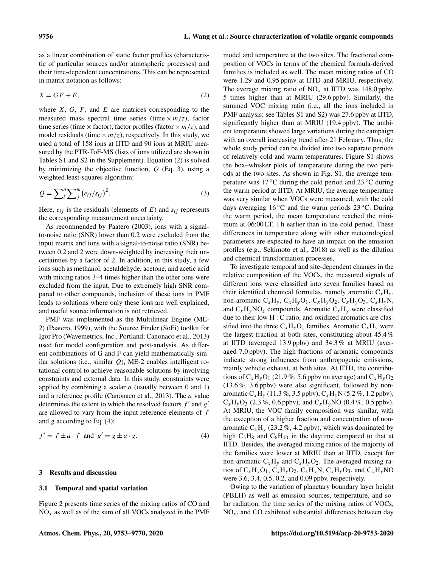as a linear combination of static factor profiles (characteristic of particular sources and/or atmospheric processes) and their time-dependent concentrations. This can be represented in matrix notation as follows:

$$
X = GF + E,\tag{2}
$$

where  $X$ ,  $G$ ,  $F$ , and  $E$  are matrices corresponding to the measured mass spectral time series (time  $\times m/z$ ), factor time series (time  $\times$  factor), factor profiles (factor  $\times$  *m*/z), and model residuals (time  $\times m/z$ ), respectively. In this study, we used a total of 158 ions at IITD and 90 ions at MRIU measured by the PTR-ToF-MS (lists of ions utilized are shown in Tables S1 and S2 in the Supplement). Equation (2) is solved by minimizing the objective function,  $Q$  (Eq. 3), using a weighted least-squares algorithm:

$$
Q = \sum_{i}^{n} \sum_{j}^{m} (e_{ij}/s_{ij})^{2}.
$$
 (3)

Here,  $e_{ij}$  is the residuals (elements of E) and  $s_{ij}$  represents the corresponding measurement uncertainty.

As recommended by Paatero (2003), ions with a signalto-noise ratio (SNR) lower than 0.2 were excluded from the input matrix and ions with a signal-to-noise ratio (SNR) between 0.2 and 2 were down-weighted by increasing their uncertainties by a factor of 2. In addition, in this study, a few ions such as methanol, acetaldehyde, acetone, and acetic acid with mixing ratios 3–4 times higher than the other ions were excluded from the input. Due to extremely high SNR compared to other compounds, inclusion of these ions in PMF leads to solutions where only these ions are well explained, and useful source information is not retrieved.

PMF was implemented as the Multilinear Engine (ME-2) (Paatero, 1999), with the Source Finder (SoFi) toolkit for Igor Pro (Wavemetrics, Inc., Portland; Canonaco et al., 2013) used for model configuration and post-analysis. As different combinations of G and F can yield mathematically similar solutions (i.e., similar  $Q$ ), ME-2 enables intelligent rotational control to achieve reasonable solutions by involving constraints and external data. In this study, constraints were applied by combining a scalar  $a$  (usually between 0 and 1) and a reference profile (Canonaco et al., 2013). The a value determines the extent to which the resolved factors  $f'$  and  $g'$ are allowed to vary from the input reference elements of  $f$ and g according to Eq.  $(4)$ :

$$
f' = f \pm a \cdot f \text{ and } g' = g \pm a \cdot g. \tag{4}
$$

#### 3 Results and discussion

#### 3.1 Temporal and spatial variation

Figure 2 presents time series of the mixing ratios of CO and  $NO<sub>x</sub>$  as well as of the sum of all VOCs analyzed in the PMF model and temperature at the two sites. The fractional composition of VOCs in terms of the chemical formula-derived families is included as well. The mean mixing ratios of CO were 1.29 and 0.95 ppmv at IITD and MRIU, respectively. The average mixing ratio of  $NO<sub>x</sub>$  at IITD was 148.0 ppbv, 5 times higher than at MRIU (29.6 ppbv). Similarly, the summed VOC mixing ratio (i.e., all the ions included in PMF analysis; see Tables S1 and S2) was 27.6 ppbv at IITD, significantly higher than at MRIU (19.4 ppbv). The ambient temperature showed large variations during the campaign with an overall increasing trend after 21 February. Thus, the whole study period can be divided into two separate periods of relatively cold and warm temperatures. Figure S1 shows the box–whisker plots of temperature during the two periods at the two sites. As shown in Fig. S1, the average temperature was  $17 \degree C$  during the cold period and  $23 \degree C$  during the warm period at IITD. At MRIU, the average temperature was very similar when VOCs were measured, with the cold days averaging 16  $\rm{°C}$  and the warm periods 23  $\rm{°C}$ . During the warm period, the mean temperature reached the minimum at 06:00 LT, 1 h earlier than in the cold period. These differences in temperature along with other meteorological parameters are expected to have an impact on the emission profiles (e.g., Sekimoto et al., 2018) as well as the dilution and chemical transformation processes.

To investigate temporal and site-dependent changes in the relative composition of the VOCs, the measured signals of different ions were classified into seven families based on their identified chemical formulas, namely aromatic  $C_xH_y$ , non-aromatic  $C_xH_y$ ,  $C_xH_yO_1$ ,  $C_xH_yO_2$ ,  $C_xH_yO_3$ ,  $C_xH_yN$ , and  $C_xH_vNO_z$  compounds. Aromatic  $C_xH_v$  were classified due to their low H : C ratio, and oxidized aromatics are classified into the three  $C_xH_yO_z$  families. Aromatic  $C_xH_y$  were the largest fraction at both sites, constituting about 45.4 % at IITD (averaged 13.9 ppbv) and 34.3 % at MRIU (averaged 7.0 ppbv). The high fractions of aromatic compounds indicate strong influences from anthropogenic emissions, mainly vehicle exhaust, at both sites. At IITD, the contributions of  $C_xH_vO_1$  (21.9%, 5.6 ppby on average) and  $C_xH_vO_2$ (13.6 %, 3.6 ppbv) were also significant, followed by nonaromatic  $C_xH_y$  (11.3 %, 3.5 ppbv),  $C_xH_yN$  (5.2 %, 1.2 ppbv),  $C_xH_vO_3$  (2.3 %, 0.6 ppbv), and  $C_xH_vNO$  (0.4 %, 0.5 ppbv). At MRIU, the VOC family composition was similar, with the exception of a higher fraction and concentration of nonaromatic  $C_xH_y$  (23.2%, 4.2 ppbv), which was dominated by high  $C_5H_8$  and  $C_6H_{10}$  in the daytime compared to that at IITD. Besides, the averaged mixing ratios of the majority of the families were lower at MRIU than at IITD, except for non-aromatic  $C_xH_y$  and  $C_xH_yO_2$ . The averaged mixing ratios of  $C_xH_yO_1$ ,  $C_xH_yO_2$ ,  $C_xH_yN$ ,  $C_xH_yO_3$ , and  $C_xH_yNO$ were 3.6, 3.4, 0.5, 0.2, and 0.09 ppbv, respectively.

Owing to the variation of planetary boundary layer height (PBLH) as well as emission sources, temperature, and solar radiation, the time series of the mixing ratios of VOCs,  $NO<sub>x</sub>$ , and CO exhibited substantial differences between day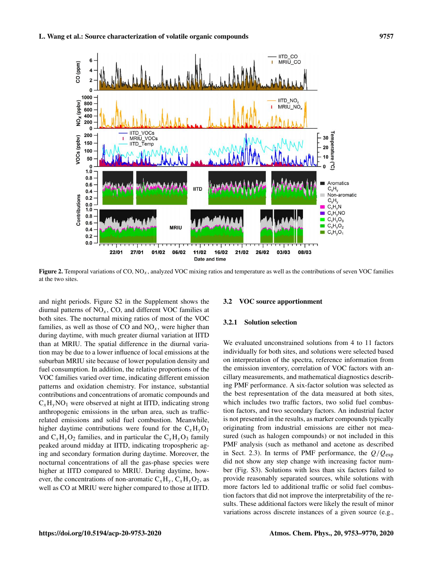

Figure 2. Temporal variations of CO,  $NO<sub>x</sub>$ , analyzed VOC mixing ratios and temperature as well as the contributions of seven VOC families at the two sites.

and night periods. Figure S2 in the Supplement shows the diurnal patterns of  $NO_x$ , CO, and different VOC families at both sites. The nocturnal mixing ratios of most of the VOC families, as well as those of CO and  $NO<sub>x</sub>$ , were higher than during daytime, with much greater diurnal variation at IITD than at MRIU. The spatial difference in the diurnal variation may be due to a lower influence of local emissions at the suburban MRIU site because of lower population density and fuel consumption. In addition, the relative proportions of the VOC families varied over time, indicating different emission patterns and oxidation chemistry. For instance, substantial contributions and concentrations of aromatic compounds and  $C_xH_vNO_1$  were observed at night at IITD, indicating strong anthropogenic emissions in the urban area, such as trafficrelated emissions and solid fuel combustion. Meanwhile, higher daytime contributions were found for the  $C_xH_yO_1$ and  $C_xH_yO_2$  families, and in particular the  $C_xH_yO_3$  family peaked around midday at IITD, indicating tropospheric aging and secondary formation during daytime. Moreover, the nocturnal concentrations of all the gas-phase species were higher at IITD compared to MRIU. During daytime, however, the concentrations of non-aromatic  $C_xH_y$ ,  $C_xH_yO_2$ , as well as CO at MRIU were higher compared to those at IITD.

#### 3.2 VOC source apportionment

## 3.2.1 Solution selection

We evaluated unconstrained solutions from 4 to 11 factors individually for both sites, and solutions were selected based on interpretation of the spectra, reference information from the emission inventory, correlation of VOC factors with ancillary measurements, and mathematical diagnostics describing PMF performance. A six-factor solution was selected as the best representation of the data measured at both sites, which includes two traffic factors, two solid fuel combustion factors, and two secondary factors. An industrial factor is not presented in the results, as marker compounds typically originating from industrial emissions are either not measured (such as halogen compounds) or not included in this PMF analysis (such as methanol and acetone as described in Sect. 2.3). In terms of PMF performance, the  $Q/Q_{\rm exp}$ did not show any step change with increasing factor number (Fig. S3). Solutions with less than six factors failed to provide reasonably separated sources, while solutions with more factors led to additional traffic or solid fuel combustion factors that did not improve the interpretability of the results. These additional factors were likely the result of minor variations across discrete instances of a given source (e.g.,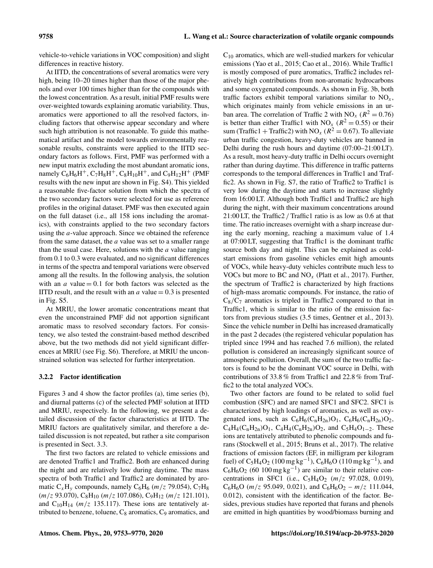vehicle-to-vehicle variations in VOC composition) and slight differences in reactive history.

At IITD, the concentrations of several aromatics were very high, being 10–20 times higher than those of the major phenols and over 100 times higher than for the compounds with the lowest concentration. As a result, initial PMF results were over-weighted towards explaining aromatic variability. Thus, aromatics were apportioned to all the resolved factors, including factors that otherwise appear secondary and where such high attribution is not reasonable. To guide this mathematical artifact and the model towards environmentally reasonable results, constraints were applied to the IITD secondary factors as follows. First, PMF was performed with a new input matrix excluding the most abundant aromatic ions, namely  $C_6H_6H^+$ ,  $C_7H_8H^+$ ,  $C_8H_{10}H^+$ , and  $C_9H_{12}H^+$  (PMF results with the new input are shown in Fig. S4). This yielded a reasonable five-factor solution from which the spectra of the two secondary factors were selected for use as reference profiles in the original dataset. PMF was then executed again on the full dataset (i.e., all 158 ions including the aromatics), with constraints applied to the two secondary factors using the a-value approach. Since we obtained the reference from the same dataset, the  $a$  value was set to a smaller range than the usual case. Here, solutions with the  $a$  value ranging from 0.1 to 0.3 were evaluated, and no significant differences in terms of the spectra and temporal variations were observed among all the results. In the following analysis, the solution with an  $a$  value  $= 0.1$  for both factors was selected as the IITD result, and the result with an  $a$  value  $= 0.3$  is presented in Fig. S5.

At MRIU, the lower aromatic concentrations meant that even the unconstrained PMF did not apportion significant aromatic mass to resolved secondary factors. For consistency, we also tested the constraint-based method described above, but the two methods did not yield significant differences at MRIU (see Fig. S6). Therefore, at MRIU the unconstrained solution was selected for further interpretation.

## 3.2.2 Factor identification

Figures 3 and 4 show the factor profiles (a), time series (b), and diurnal patterns (c) of the selected PMF solution at IITD and MRIU, respectively. In the following, we present a detailed discussion of the factor characteristics at IITD. The MRIU factors are qualitatively similar, and therefore a detailed discussion is not repeated, but rather a site comparison is presented in Sect. 3.3.

The first two factors are related to vehicle emissions and are denoted Traffic1 and Traffic2. Both are enhanced during the night and are relatively low during daytime. The mass spectra of both Traffic1 and Traffic2 are dominated by aromatic  $C_xH_y$  compounds, namely  $C_6H_6$  (*m*/z 79.054),  $C_7H_8$  $(m/z 93.070)$ , C<sub>8</sub>H<sub>10</sub>  $(m/z 107.086)$ , C<sub>9</sub>H<sub>12</sub>  $(m/z 121.101)$ , and  $C_{10}H_{14}$  ( $m/z$  135.117). These ions are tentatively attributed to benzene, toluene,  $C_8$  aromatics,  $C_9$  aromatics, and  $C_{10}$  aromatics, which are well-studied markers for vehicular emissions (Yao et al., 2015; Cao et al., 2016). While Traffic1 is mostly composed of pure aromatics, Traffic2 includes relatively high contributions from non-aromatic hydrocarbons and some oxygenated compounds. As shown in Fig. 3b, both traffic factors exhibit temporal variations similar to  $NO<sub>x</sub>$ , which originates mainly from vehicle emissions in an urban area. The correlation of Traffic 2 with  $NO_x (R^2 = 0.76)$ is better than either Traffic1 with NO<sub>x</sub> ( $R^2 = 0.55$ ) or their sum (Traffic1 + Traffic2) with  $NO_x (R^2 = 0.67)$ . To alleviate urban traffic congestion, heavy-duty vehicles are banned in Delhi during the rush hours and daytime (07:00–21:00 LT). As a result, most heavy-duty traffic in Delhi occurs overnight rather than during daytime. This difference in traffic patterns corresponds to the temporal differences in Traffic1 and Traffic2. As shown in Fig. S7, the ratio of Traffic2 to Traffic1 is very low during the daytime and starts to increase slightly from 16:00 LT. Although both Traffic1 and Traffic2 are high during the night, with their maximum concentrations around 21:00 LT, the Traffic2 / Traffic1 ratio is as low as 0.6 at that time. The ratio increases overnight with a sharp increase during the early morning, reaching a maximum value of 1.4 at 07:00 LT, suggesting that Traffic1 is the dominant traffic source both day and night. This can be explained as coldstart emissions from gasoline vehicles emit high amounts of VOCs, while heavy-duty vehicles contribute much less to VOCs but more to BC and  $NO<sub>x</sub>$  (Platt et al., 2017). Further, the spectrum of Traffic2 is characterized by high fractions of high-mass aromatic compounds. For instance, the ratio of  $C_8/C_7$  aromatics is tripled in Traffic2 compared to that in Traffic1, which is similar to the ratio of the emission factors from previous studies (3.5 times, Gentner et al., 2013). Since the vehicle number in Delhi has increased dramatically in the past 2 decades (the registered vehicular population has tripled since 1994 and has reached 7.6 million), the related pollution is considered an increasingly significant source of atmospheric pollution. Overall, the sum of the two traffic factors is found to be the dominant VOC source in Delhi, with contributions of 33.8 % from Traffic1 and 22.8 % from Traffic2 to the total analyzed VOCs.

Two other factors are found to be related to solid fuel combustion (SFC) and are named SFC1 and SFC2. SFC1 is characterized by high loadings of aromatics, as well as oxygenated ions, such as  $C_6H_6(C_nH_{2n})O_1$ ,  $C_6H_6(C_nH_{2n})O_2$ ,  $C_4H_4(C_nH_{2n})O_1$ ,  $C_4H_4(C_nH_{2n})O_2$ , and  $C_5H_4O_{1-2}$ . These ions are tentatively attributed to phenolic compounds and furans (Stockwell et al., 2015; Bruns et al., 2017). The relative fractions of emission factors (EF, in milligram per kilogram fuel) of  $C_5H_4O_2$  (100 mg kg<sup>-1</sup>),  $C_6H_6O$  (110 mg kg<sup>-1</sup>), and  $C_6H_6O_2$  (60 100 mg kg<sup>-1</sup>) are similar to their relative concentrations in SFC1 (i.e.,  $C_5H_4O_2$  ( $m/z$  97.028, 0.019),  $C_6H_6O$  ( $m/z$  95.049, 0.021), and  $C_6H_6O_2 - m/z$  111.044, 0.012), consistent with the identification of the factor. Besides, previous studies have reported that furans and phenols are emitted in high quantities by wood/biomass burning and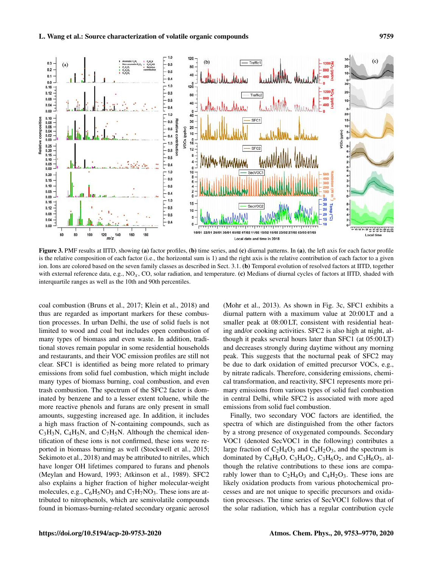

Figure 3. PMF results at IITD, showing (a) factor profiles, (b) time series, and (c) diurnal patterns. In (a), the left axis for each factor profile is the relative composition of each factor (i.e., the horizontal sum is 1) and the right axis is the relative contribution of each factor to a given ion. Ions are colored based on the seven family classes as described in Sect. 3.1. (b) Temporal evolution of resolved factors at IITD, together with external reference data, e.g.,  $NO<sub>x</sub>$ , CO, solar radiation, and temperature. (c) Medians of diurnal cycles of factors at IITD, shaded with interquartile ranges as well as the 10th and 90th percentiles.

coal combustion (Bruns et al., 2017; Klein et al., 2018) and thus are regarded as important markers for these combustion processes. In urban Delhi, the use of solid fuels is not limited to wood and coal but includes open combustion of many types of biomass and even waste. In addition, traditional stoves remain popular in some residential households and restaurants, and their VOC emission profiles are still not clear. SFC1 is identified as being more related to primary emissions from solid fuel combustion, which might include many types of biomass burning, coal combustion, and even trash combustion. The spectrum of the SFC2 factor is dominated by benzene and to a lesser extent toluene, while the more reactive phenols and furans are only present in small amounts, suggesting increased age. In addition, it includes a high mass fraction of N-containing compounds, such as  $C_3H_3N$ ,  $C_4H_5N$ , and  $C_7H_5N$ . Although the chemical identification of these ions is not confirmed, these ions were reported in biomass burning as well (Stockwell et al., 2015; Sekimoto et al., 2018) and may be attributed to nitriles, which have longer OH lifetimes compared to furans and phenols (Meylan and Howard, 1993; Atkinson et al., 1989). SFC2 also explains a higher fraction of higher molecular-weight molecules, e.g.,  $C_6H_5NO_3$  and  $C_7H_7NO_3$ . These ions are attributed to nitrophenols, which are semivolatile compounds found in biomass-burning-related secondary organic aerosol

(Mohr et al., 2013). As shown in Fig. 3c, SFC1 exhibits a diurnal pattern with a maximum value at 20:00 LT and a smaller peak at 08:00 LT, consistent with residential heating and/or cooking activities. SFC2 is also high at night, although it peaks several hours later than SFC1 (at 05:00 LT) and decreases strongly during daytime without any morning peak. This suggests that the nocturnal peak of SFC2 may be due to dark oxidation of emitted precursor VOCs, e.g., by nitrate radicals. Therefore, considering emissions, chemical transformation, and reactivity, SFC1 represents more primary emissions from various types of solid fuel combustion in central Delhi, while SFC2 is associated with more aged emissions from solid fuel combustion.

Finally, two secondary VOC factors are identified, the spectra of which are distinguished from the other factors by a strong presence of oxygenated compounds. Secondary VOC1 (denoted SecVOC1 in the following) contributes a large fraction of  $C_2H_4O_3$  and  $C_4H_2O_3$ , and the spectrum is dominated by  $C_4H_8O$ ,  $C_3H_4O_2$ ,  $C_3H_6O_2$ , and  $C_3H_6O_3$ , although the relative contributions to these ions are comparably lower than to  $C_2H_4O_3$  and  $C_4H_2O_3$ . These ions are likely oxidation products from various photochemical processes and are not unique to specific precursors and oxidation processes. The time series of SecVOC1 follows that of the solar radiation, which has a regular contribution cycle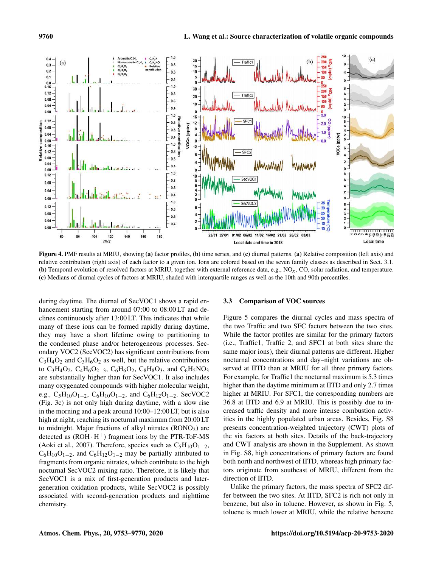

Figure 4. PMF results at MRIU, showing (a) factor profiles, (b) time series, and (c) diurnal patterns. (a) Relative composition (left axis) and relative contribution (right axis) of each factor to a given ion. Ions are colored based on the seven family classes as described in Sect. 3.1. (b) Temporal evolution of resolved factors at MRIU, together with external reference data, e.g.,  $NQ_x$ ,  $CQ_y$ , solar radiation, and temperature. (c) Medians of diurnal cycles of factors at MRIU, shaded with interquartile ranges as well as the 10th and 90th percentiles.

during daytime. The diurnal of SecVOC1 shows a rapid enhancement starting from around 07:00 to 08:00 LT and declines continuously after 13:00 LT. This indicates that while many of these ions can be formed rapidly during daytime, they may have a short lifetime owing to partitioning to the condensed phase and/or heterogeneous processes. Secondary VOC2 (SecVOC2) has significant contributions from  $C_3H_4O_2$  and  $C_3H_6O_2$  as well, but the relative contributions to C<sub>3</sub>H<sub>4</sub>O<sub>2</sub>, C<sub>4</sub>H<sub>6</sub>O<sub>2−3</sub>, C<sub>6</sub>H<sub>6</sub>O<sub>2</sub>, C<sub>8</sub>H<sub>8</sub>O<sub>3</sub>, and C<sub>6</sub>H<sub>5</sub>NO<sub>3</sub> are substantially higher than for SecVOC1. It also includes many oxygenated compounds with higher molecular weight, e.g., C<sub>5</sub>H<sub>10</sub>O<sub>1−2</sub>, C<sub>6</sub>H<sub>10</sub>O<sub>1−2</sub>, and C<sub>6</sub>H<sub>12</sub>O<sub>1−2</sub>. SecVOC2 (Fig. 3c) is not only high during daytime, with a slow rise in the morning and a peak around 10:00–12:00 LT, but is also high at night, reaching its nocturnal maximum from 20:00 LT to midnight. Major fractions of alkyl nitrates  $(RONO<sub>2</sub>)$  are detected as  $(ROH \cdot H^{+})$  fragment ions by the PTR-ToF-MS (Aoki et al., 2007). Therefore, species such as  $C_5H_{10}O_{1-2}$ ,  $C_6H_{10}O_{1-2}$ , and  $C_6H_{12}O_{1-2}$  may be partially attributed to fragments from organic nitrates, which contribute to the high nocturnal SecVOC2 mixing ratio. Therefore, it is likely that SecVOC1 is a mix of first-generation products and latergeneration oxidation products, while SecVOC2 is possibly associated with second-generation products and nighttime chemistry.

## 3.3 Comparison of VOC sources

Figure 5 compares the diurnal cycles and mass spectra of the two Traffic and two SFC factors between the two sites. While the factor profiles are similar for the primary factors (i.e., Traffic1, Traffic 2, and SFC1 at both sites share the same major ions), their diurnal patterns are different. Higher nocturnal concentrations and day–night variations are observed at IITD than at MRIU for all three primary factors. For example, for Traffic1 the nocturnal maximum is 5.3 times higher than the daytime minimum at IITD and only 2.7 times higher at MRIU. For SFC1, the corresponding numbers are 36.8 at IITD and 6.9 at MRIU. This is possibly due to increased traffic density and more intense combustion activities in the highly populated urban areas. Besides, Fig. S8 presents concentration-weighted trajectory (CWT) plots of the six factors at both sites. Details of the back-trajectory and CWT analysis are shown in the Supplement. As shown in Fig. S8, high concentrations of primary factors are found both north and northwest of IITD, whereas high primary factors originate from southeast of MRIU, different from the direction of IITD.

Unlike the primary factors, the mass spectra of SFC2 differ between the two sites. At IITD, SFC2 is rich not only in benzene, but also in toluene. However, as shown in Fig. 5, toluene is much lower at MRIU, while the relative benzene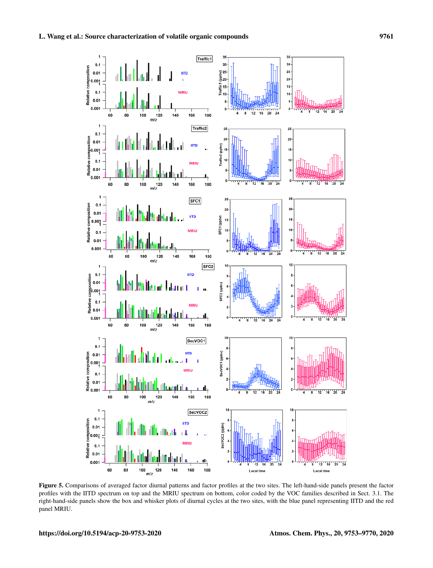

Figure 5. Comparisons of averaged factor diurnal patterns and factor profiles at the two sites. The left-hand-side panels present the factor profiles with the IITD spectrum on top and the MRIU spectrum on bottom, color coded by the VOC families described in Sect. 3.1. The right-hand-side panels show the box and whisker plots of diurnal cycles at the two sites, with the blue panel representing IITD and the red panel MRIU.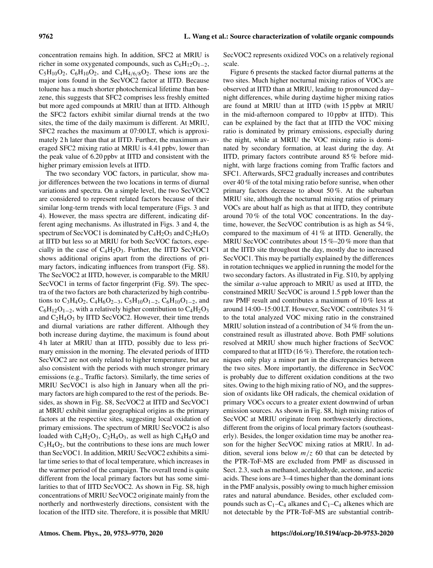concentration remains high. In addition, SFC2 at MRIU is richer in some oxygenated compounds, such as  $C_6H_{12}O_{1-2}$ ,  $C_5H_{10}O_2$ ,  $C_6H_{10}O_2$ , and  $C_4H_{4/6/8}O_2$ . These ions are the major ions found in the SecVOC2 factor at IITD. Because toluene has a much shorter photochemical lifetime than benzene, this suggests that SFC2 comprises less freshly emitted but more aged compounds at MRIU than at IITD. Although the SFC2 factors exhibit similar diurnal trends at the two sites, the time of the daily maximum is different. At MRIU, SFC2 reaches the maximum at 07:00 LT, which is approximately 2 h later than that at IITD. Further, the maximum averaged SFC2 mixing ratio at MRIU is 4.41 ppbv, lower than the peak value of 6.20 ppbv at IITD and consistent with the higher primary emission levels at IITD.

The two secondary VOC factors, in particular, show major differences between the two locations in terms of diurnal variations and spectra. On a simple level, the two SecVOC2 are considered to represent related factors because of their similar long-term trends with local temperature (Figs. 3 and 4). However, the mass spectra are different, indicating different aging mechanisms. As illustrated in Figs. 3 and 4, the spectrum of SecVOC1 is dominated by  $C_4H_2O_3$  and  $C_2H_4O_3$ at IITD but less so at MRIU for both SecVOC factors, especially in the case of  $C_4H_2O_3$ . Further, the IITD SecVOC1 shows additional origins apart from the directions of primary factors, indicating influences from transport (Fig. S8). The SecVOC2 at IITD, however, is comparable to the MRIU SecVOC1 in terms of factor fingerprint (Fig. S9). The spectra of the two factors are both characterized by high contributions to C<sub>3</sub>H<sub>4</sub>O<sub>2</sub>, C<sub>4</sub>H<sub>6</sub>O<sub>2−3</sub>, C<sub>5</sub>H<sub>10</sub>O<sub>1−2</sub>, C<sub>6</sub>H<sub>10</sub>O<sub>1−2</sub>, and  $C_6H_{12}O_{1-2}$ , with a relatively higher contribution to  $C_4H_2O_3$ and  $C_2H_4O_3$  by IITD SecVOC2. However, their time trends and diurnal variations are rather different. Although they both increase during daytime, the maximum is found about 4 h later at MRIU than at IITD, possibly due to less primary emission in the morning. The elevated periods of IITD SecVOC2 are not only related to higher temperature, but are also consistent with the periods with much stronger primary emissions (e.g., Traffic factors). Similarly, the time series of MRIU SecVOC1 is also high in January when all the primary factors are high compared to the rest of the periods. Besides, as shown in Fig. S8, SecVOC2 at IITD and SecVOC1 at MRIU exhibit similar geographical origins as the primary factors at the respective sites, suggesting local oxidation of primary emissions. The spectrum of MRIU SecVOC2 is also loaded with  $C_4H_2O_3$ ,  $C_2H_4O_3$ , as well as high  $C_4H_8O$  and  $C_3H_4O_2$ , but the contributions to these ions are much lower than SecVOC1. In addition, MRIU SecVOC2 exhibits a similar time series to that of local temperature, which increases in the warmer period of the campaign. The overall trend is quite different from the local primary factors but has some similarities to that of IITD SecVOC2. As shown in Fig. S8, high concentrations of MRIU SecVOC2 originate mainly from the northerly and northwesterly directions, consistent with the location of the IITD site. Therefore, it is possible that MRIU SecVOC2 represents oxidized VOCs on a relatively regional scale.

Figure 6 presents the stacked factor diurnal patterns at the two sites. Much higher nocturnal mixing ratios of VOCs are observed at IITD than at MRIU, leading to pronounced day– night differences, while during daytime higher mixing ratios are found at MRIU than at IITD (with 15 ppbv at MRIU in the mid-afternoon compared to 10 ppbv at IITD). This can be explained by the fact that at IITD the VOC mixing ratio is dominated by primary emissions, especially during the night, while at MRIU the VOC mixing ratio is dominated by secondary formation, at least during the day. At IITD, primary factors contribute around 85 % before midnight, with large fractions coming from Traffic factors and SFC1. Afterwards, SFC2 gradually increases and contributes over 40 % of the total mixing ratio before sunrise, when other primary factors decrease to about 50 %. At the suburban MRIU site, although the nocturnal mixing ratios of primary VOCs are about half as high as that at IITD, they contribute around 70 % of the total VOC concentrations. In the daytime, however, the SecVOC contribution is as high as 54 %, compared to the maximum of 41 % at IITD. Generally, the MRIU SecVOC contributes about 15 %–20 % more than that at the IITD site throughout the day, mostly due to increased SecVOC1. This may be partially explained by the differences in rotation techniques we applied in running the model for the two secondary factors. As illustrated in Fig. S10, by applying the similar a-value approach to MRIU as used at IITD, the constrained MRIU SecVOC is around 1.5 ppb lower than the raw PMF result and contributes a maximum of 10 % less at around 14:00–15:00 LT. However, SecVOC contributes 31 % to the total analyzed VOC mixing ratio in the constrained MRIU solution instead of a contribution of 34 % from the unconstrained result as illustrated above. Both PMF solutions resolved at MRIU show much higher fractions of SecVOC compared to that at IITD (16 %). Therefore, the rotation techniques only play a minor part in the discrepancies between the two sites. More importantly, the difference in SecVOC is probably due to different oxidation conditions at the two sites. Owing to the high mixing ratio of  $NO<sub>x</sub>$  and the suppression of oxidants like OH radicals, the chemical oxidation of primary VOCs occurs to a greater extent downwind of urban emission sources. As shown in Fig. S8, high mixing ratios of SecVOC at MRIU originate from northwesterly directions, different from the origins of local primary factors (southeasterly). Besides, the longer oxidation time may be another reason for the higher SecVOC mixing ratios at MRIU. In addition, several ions below  $m/z$  60 that can be detected by the PTR-ToF-MS are excluded from PMF as discussed in Sect. 2.3, such as methanol, acetaldehyde, acetone, and acetic acids. These ions are 3–4 times higher than the dominant ions in the PMF analysis, possibly owing to much higher emission rates and natural abundance. Besides, other excluded compounds such as  $C_1-C_4$  alkanes and  $C_1-C_4$  alkenes which are not detectable by the PTR-ToF-MS are substantial contrib-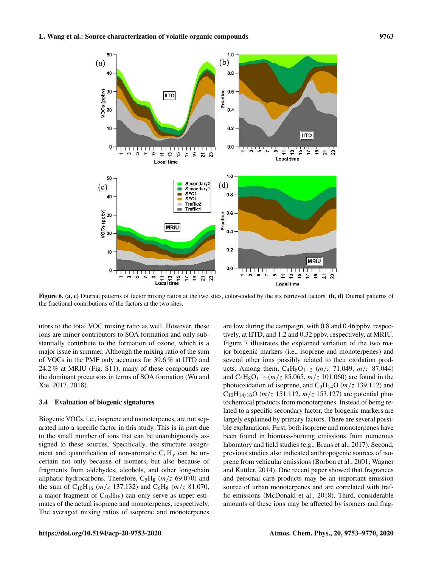

Figure 6. (a, c) Diurnal patterns of factor mixing ratios at the two sites, color-coded by the six retrieved factors. (b, d) Diurnal patterns of the fractional contributions of the factors at the two sites.

utors to the total VOC mixing ratio as well. However, these ions are minor contributors to SOA formation and only substantially contribute to the formation of ozone, which is a major issue in summer. Although the mixing ratio of the sum of VOCs in the PMF only accounts for 39.6 % at IITD and 24.2 % at MRIU (Fig. S11), many of these compounds are the dominant precursors in terms of SOA formation (Wu and Xie, 2017, 2018).

## 3.4 Evaluation of biogenic signatures

Biogenic VOCs, i.e., isoprene and monoterpenes, are not separated into a specific factor in this study. This is in part due to the small number of ions that can be unambiguously assigned to these sources. Specifically, the structure assignment and quantification of non-aromatic  $C_xH_y$  can be uncertain not only because of isomers, but also because of fragments from aldehydes, alcohols, and other long-chain aliphatic hydrocarbons. Therefore,  $C_5H_8$  ( $m/z$  69.070) and the sum of  $C_{10}H_{16}$  (*m/z* 137.132) and  $C_6H_8$  (*m/z* 81.070, a major fragment of  $C_{10}H_{16}$ ) can only serve as upper estimates of the actual isoprene and monoterpenes, respectively. The averaged mixing ratios of isoprene and monoterpenes

are low during the campaign, with 0.8 and 0.46 ppbv, respectively, at IITD, and 1.2 and 0.32 ppbv, respectively, at MRIU. Figure 7 illustrates the explained variation of the two major biogenic markers (i.e., isoprene and monoterpenes) and several other ions possibly related to their oxidation products. Among them,  $C_4H_6O_{1-2}$  (m/z 71.049, m/z 87.044) and C<sub>5</sub>H<sub>8</sub>O<sub>1−2</sub> ( $m/z$  85.065,  $m/z$  101.060) are found in the photooxidation of isoprene, and  $C_9H_{14}O$  ( $m/z$  139.112) and  $C_{10}H_{14/16}O$  (*m/z* 151.112, *m/z* 153.127) are potential photochemical products from monoterpenes. Instead of being related to a specific secondary factor, the biogenic markers are largely explained by primary factors. There are several possible explanations. First, both isoprene and monoterpenes have been found in biomass-burning emissions from numerous laboratory and field studies (e.g., Bruns et al., 2017). Second, previous studies also indicated anthropogenic sources of isoprene from vehicular emissions (Borbon et al., 2001; Wagner and Kuttler, 2014). One recent paper showed that fragrances and personal care products may be an important emission source of urban monoterpenes and are correlated with traffic emissions (McDonald et al., 2018). Third, considerable amounts of these ions may be affected by isomers and frag-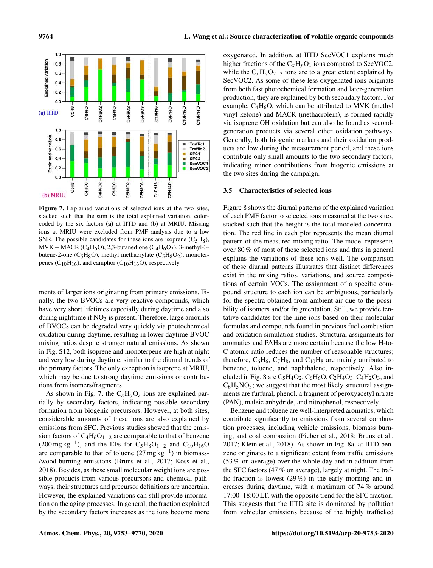

Figure 7. Explained variations of selected ions at the two sites, stacked such that the sum is the total explained variation, colorcoded by the six factors (a) at IITD and (b) at MRIU. Missing ions at MRIU were excluded from PMF analysis due to a low SNR. The possible candidates for these ions are isoprene  $(C_5H_8)$ ,  $MVK + MACR (C_4H_6O), 2,3$ -butanedione ( $C_4H_6O_2$ ), 3-methyl-3butene-2-one ( $C_5H_8O$ ), methyl methacrylate ( $C_5H_8O_2$ ), monoterpenes ( $C_{10}H_{16}$ ), and camphor ( $C_{10}H_{16}O$ ), respectively.

ments of larger ions originating from primary emissions. Finally, the two BVOCs are very reactive compounds, which have very short lifetimes especially during daytime and also during nighttime if  $NO<sub>3</sub>$  is present. Therefore, large amounts of BVOCs can be degraded very quickly via photochemical oxidation during daytime, resulting in lower daytime BVOC mixing ratios despite stronger natural emissions. As shown in Fig. S12, both isoprene and monoterpene are high at night and very low during daytime, similar to the diurnal trends of the primary factors. The only exception is isoprene at MRIU, which may be due to strong daytime emissions or contributions from isomers/fragments.

As shown in Fig. 7, the  $C_xH_yO_z$  ions are explained partially by secondary factors, indicating possible secondary formation from biogenic precursors. However, at both sites, considerable amounts of these ions are also explained by emissions from SFC. Previous studies showed that the emission factors of  $C_4H_6O_{1-2}$  are comparable to that of benzene  $(200 \text{ mg kg}^{-1})$ , and the EFs for C<sub>5</sub>H<sub>8</sub>O<sub>1-2</sub> and C<sub>10</sub>H<sub>16</sub>O are comparable to that of toluene  $(27 \text{ mg kg}^{-1})$  in biomass-/wood-burning emissions (Bruns et al., 2017; Koss et al., 2018). Besides, as these small molecular weight ions are possible products from various precursors and chemical pathways, their structures and precursor definitions are uncertain. However, the explained variations can still provide information on the aging processes. In general, the fraction explained by the secondary factors increases as the ions become more oxygenated. In addition, at IITD SecVOC1 explains much higher fractions of the  $C_xH_yO_1$  ions compared to SecVOC2, while the  $C_xH_yO_{2-3}$  ions are to a great extent explained by SecVOC2. As some of these less oxygenated ions originate from both fast photochemical formation and later-generation production, they are explained by both secondary factors. For example,  $C_4H_6O$ , which can be attributed to MVK (methyl vinyl ketone) and MACR (methacrolein), is formed rapidly via isoprene OH oxidation but can also be found as secondgeneration products via several other oxidation pathways. Generally, both biogenic markers and their oxidation products are low during the measurement period, and these ions contribute only small amounts to the two secondary factors, indicating minor contributions from biogenic emissions at the two sites during the campaign.

## 3.5 Characteristics of selected ions

Figure 8 shows the diurnal patterns of the explained variation of each PMF factor to selected ions measured at the two sites, stacked such that the height is the total modeled concentration. The red line in each plot represents the mean diurnal pattern of the measured mixing ratio. The model represents over 80 % of most of these selected ions and thus in general explains the variations of these ions well. The comparison of these diurnal patterns illustrates that distinct differences exist in the mixing ratios, variations, and source compositions of certain VOCs. The assignment of a specific compound structure to each ion can be ambiguous, particularly for the spectra obtained from ambient air due to the possibility of isomers and/or fragmentation. Still, we provide tentative candidates for the nine ions based on their molecular formulas and compounds found in previous fuel combustion and oxidation simulation studies. Structural assignments for aromatics and PAHs are more certain because the low H-to-C atomic ratio reduces the number of reasonable structures; therefore,  $C_6H_6$ ,  $C_7H_8$ , and  $C_{10}H_8$  are mainly attributed to benzene, toluene, and naphthalene, respectively. Also included in Fig. 8 are  $C_5H_4O_2$ ,  $C_6H_6O$ ,  $C_2H_4O_3$ ,  $C_4H_2O_3$ , and  $C_6H_5NO_3$ ; we suggest that the most likely structural assignments are furfural, phenol, a fragment of peroxyacetyl nitrate (PAN), maleic anhydride, and nitrophenol, respectively.

Benzene and toluene are well-interpreted aromatics, which contribute significantly to emissions from several combustion processes, including vehicle emissions, biomass burning, and coal combustion (Pieber et al., 2018; Bruns et al., 2017; Klein et al., 2018). As shown in Fig. 8a, at IITD benzene originates to a significant extent from traffic emissions (53 % on average) over the whole day and in addition from the SFC factors (47 % on average), largely at night. The traffic fraction is lowest  $(29\%)$  in the early morning and increases during daytime, with a maximum of 74 % around 17:00–18:00 LT, with the opposite trend for the SFC fraction. This suggests that the IITD site is dominated by pollution from vehicular emissions because of the highly trafficked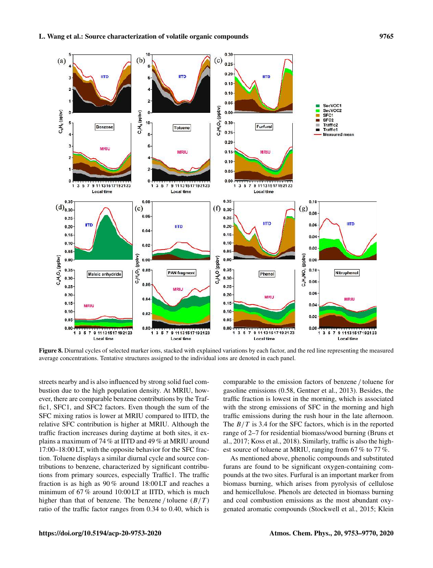

Figure 8. Diurnal cycles of selected marker ions, stacked with explained variations by each factor, and the red line representing the measured average concentrations. Tentative structures assigned to the individual ions are denoted in each panel.

streets nearby and is also influenced by strong solid fuel combustion due to the high population density. At MRIU, however, there are comparable benzene contributions by the Traffic1, SFC1, and SFC2 factors. Even though the sum of the SFC mixing ratios is lower at MRIU compared to IITD, the relative SFC contribution is higher at MRIU. Although the traffic fraction increases during daytime at both sites, it explains a maximum of 74 % at IITD and 49 % at MRIU around 17:00–18:00 LT, with the opposite behavior for the SFC fraction. Toluene displays a similar diurnal cycle and source contributions to benzene, characterized by significant contributions from primary sources, especially Traffic1. The traffic fraction is as high as 90 % around 18:00 LT and reaches a minimum of 67 % around 10:00 LT at IITD, which is much higher than that of benzene. The benzene / toluene  $(B/T)$ ratio of the traffic factor ranges from 0.34 to 0.40, which is comparable to the emission factors of benzene / toluene for gasoline emissions (0.58, Gentner et al., 2013). Besides, the traffic fraction is lowest in the morning, which is associated with the strong emissions of SFC in the morning and high traffic emissions during the rush hour in the late afternoon. The  $B/T$  is 3.4 for the SFC factors, which is in the reported range of 2–7 for residential biomass/wood burning (Bruns et al., 2017; Koss et al., 2018). Similarly, traffic is also the highest source of toluene at MRIU, ranging from 67 % to 77 %.

As mentioned above, phenolic compounds and substituted furans are found to be significant oxygen-containing compounds at the two sites. Furfural is an important marker from biomass burning, which arises from pyrolysis of cellulose and hemicellulose. Phenols are detected in biomass burning and coal combustion emissions as the most abundant oxygenated aromatic compounds (Stockwell et al., 2015; Klein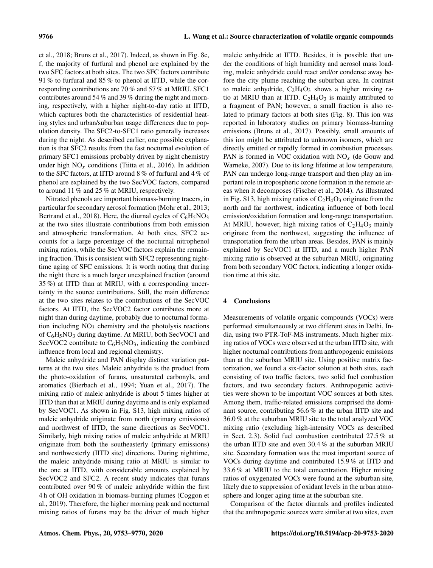et al., 2018; Bruns et al., 2017). Indeed, as shown in Fig. 8c, f, the majority of furfural and phenol are explained by the two SFC factors at both sites. The two SFC factors contribute 91 % to furfural and 85 % to phenol at IITD, while the corresponding contributions are 70 % and 57 % at MRIU. SFC1 contributes around 54 % and 39 % during the night and morning, respectively, with a higher night-to-day ratio at IITD, which captures both the characteristics of residential heating styles and urban/suburban usage differences due to population density. The SFC2-to-SFC1 ratio generally increases during the night. As described earlier, one possible explanation is that SFC2 results from the fast nocturnal evolution of primary SFC1 emissions probably driven by night chemistry under high  $NO<sub>x</sub>$  conditions (Tiitta et al., 2016). In addition to the SFC factors, at IITD around 8 % of furfural and 4 % of phenol are explained by the two SecVOC factors, compared to around 11 % and 25 % at MRIU, respectively.

Nitrated phenols are important biomass-burning tracers, in particular for secondary aerosol formation (Mohr et al., 2013; Bertrand et al., 2018). Here, the diurnal cycles of  $C_6H_5NO_3$ at the two sites illustrate contributions from both emission and atmospheric transformation. At both sites, SFC2 accounts for a large percentage of the nocturnal nitrophenol mixing ratios, while the SecVOC factors explain the remaining fraction. This is consistent with SFC2 representing nighttime aging of SFC emissions. It is worth noting that during the night there is a much larger unexplained fraction (around 35 %) at IITD than at MRIU, with a corresponding uncertainty in the source contributions. Still, the main difference at the two sites relates to the contributions of the SecVOC factors. At IITD, the SecVOC2 factor contributes more at night than during daytime, probably due to nocturnal formation including  $NO<sub>3</sub>$  chemistry and the photolysis reactions of  $C_6H_5NO_3$  during daytime. At MRIU, both SecVOC1 and SecVOC2 contribute to  $C_6H_5NO_3$ , indicating the combined influence from local and regional chemistry.

Maleic anhydride and PAN display distinct variation patterns at the two sites. Maleic anhydride is the product from the photo-oxidation of furans, unsaturated carbonyls, and aromatics (Bierbach et al., 1994; Yuan et al., 2017). The mixing ratio of maleic anhydride is about 5 times higher at IITD than that at MRIU during daytime and is only explained by SecVOC1. As shown in Fig. S13, high mixing ratios of maleic anhydride originate from north (primary emissions) and northwest of IITD, the same directions as SecVOC1. Similarly, high mixing ratios of maleic anhydride at MRIU originate from both the southeasterly (primary emissions) and northwesterly (IITD site) directions. During nighttime, the maleic anhydride mixing ratio at MRIU is similar to the one at IITD, with considerable amounts explained by SecVOC2 and SFC2. A recent study indicates that furans contributed over 90 % of maleic anhydride within the first 4 h of OH oxidation in biomass-burning plumes (Coggon et al., 2019). Therefore, the higher morning peak and nocturnal mixing ratios of furans may be the driver of much higher maleic anhydride at IITD. Besides, it is possible that under the conditions of high humidity and aerosol mass loading, maleic anhydride could react and/or condense away before the city plume reaching the suburban area. In contrast to maleic anhydride,  $C_2H_4O_3$  shows a higher mixing ratio at MRIU than at IITD.  $C_2H_4O_3$  is mainly attributed to a fragment of PAN; however, a small fraction is also related to primary factors at both sites (Fig. 8). This ion was reported in laboratory studies on primary biomass-burning emissions (Bruns et al., 2017). Possibly, small amounts of this ion might be attributed to unknown isomers, which are directly emitted or rapidly formed in combustion processes. PAN is formed in VOC oxidation with  $NO<sub>x</sub>$  (de Gouw and Warneke, 2007). Due to its long lifetime at low temperature, PAN can undergo long-range transport and then play an important role in tropospheric ozone formation in the remote areas when it decomposes (Fischer et al., 2014). As illustrated in Fig. S13, high mixing ratios of  $C_2H_4O_3$  originate from the north and far northwest, indicating influence of both local emission/oxidation formation and long-range transportation. At MRIU, however, high mixing ratios of  $C_2H_4O_3$  mainly originate from the northwest, suggesting the influence of transportation from the urban areas. Besides, PAN is mainly explained by SecVOC1 at IITD, and a much higher PAN mixing ratio is observed at the suburban MRIU, originating from both secondary VOC factors, indicating a longer oxidation time at this site.

# 4 Conclusions

Measurements of volatile organic compounds (VOCs) were performed simultaneously at two different sites in Delhi, India, using two PTR-ToF-MS instruments. Much higher mixing ratios of VOCs were observed at the urban IITD site, with higher nocturnal contributions from anthropogenic emissions than at the suburban MRIU site. Using positive matrix factorization, we found a six-factor solution at both sites, each consisting of two traffic factors, two solid fuel combustion factors, and two secondary factors. Anthropogenic activities were shown to be important VOC sources at both sites. Among them, traffic-related emissions comprised the dominant source, contributing 56.6 % at the urban IITD site and 36.0 % at the suburban MRIU site to the total analyzed VOC mixing ratio (excluding high-intensity VOCs as described in Sect. 2.3). Solid fuel combustion contributed 27.5 % at the urban IITD site and even 30.4 % at the suburban MRIU site. Secondary formation was the most important source of VOCs during daytime and contributed 15.9 % at IITD and 33.6 % at MRIU to the total concentration. Higher mixing ratios of oxygenated VOCs were found at the suburban site, likely due to suppression of oxidant levels in the urban atmosphere and longer aging time at the suburban site.

Comparison of the factor diurnals and profiles indicated that the anthropogenic sources were similar at two sites, even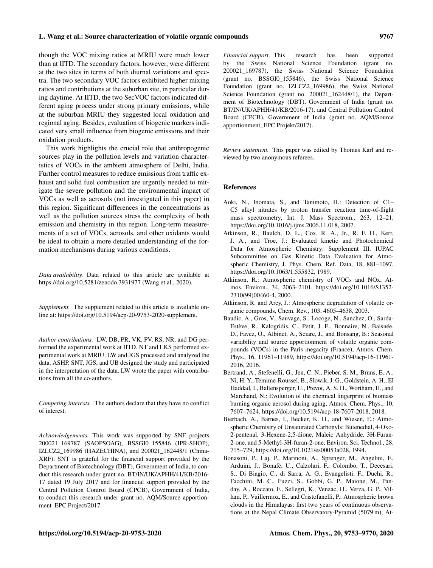#### L. Wang et al.: Source characterization of volatile organic compounds 9767

though the VOC mixing ratios at MRIU were much lower than at IITD. The secondary factors, however, were different at the two sites in terms of both diurnal variations and spectra. The two secondary VOC factors exhibited higher mixing ratios and contributions at the suburban site, in particular during daytime. At IITD, the two SecVOC factors indicated different aging process under strong primary emissions, while at the suburban MRIU they suggested local oxidation and regional aging. Besides, evaluation of biogenic markers indicated very small influence from biogenic emissions and their oxidation products.

This work highlights the crucial role that anthropogenic sources play in the pollution levels and variation characteristics of VOCs in the ambient atmosphere of Delhi, India. Further control measures to reduce emissions from traffic exhaust and solid fuel combustion are urgently needed to mitigate the severe pollution and the environmental impact of VOCs as well as aerosols (not investigated in this paper) in this region. Significant differences in the concentrations as well as the pollution sources stress the complexity of both emission and chemistry in this region. Long-term measurements of a set of VOCs, aerosols, and other oxidants would be ideal to obtain a more detailed understanding of the formation mechanisms during various conditions.

*Data availability.* Data related to this article are available at https://doi.org/10.5281/zenodo.3931977 (Wang et al., 2020).

*Supplement.* The supplement related to this article is available online at: https://doi.org/10.5194/acp-20-9753-2020-supplement.

*Author contributions.* LW, DB, PR, VK, PV, RS, NR, and DG performed the experimental work at IITD. NT and LKS performed experimental work at MRIU. LW and JGS processed and analyzed the data. ASHP, SNT, JGS, and UB designed the study and participated in the interpretation of the data. LW wrote the paper with contributions from all the co-authors.

*Competing interests.* The authors declare that they have no conflict of interest.

*Acknowledgements.* This work was supported by SNF projects 200021\_169787 (SAOPSOAG), BSSGI0\_155846 (IPR-SHOP), IZLCZ2\_169986 (HAZECHINA), and 200021\_162448/1 (China-XRF). SNT is grateful for the financial support provided by the Department of Biotechnology (DBT), Government of India, to conduct this research under grant no. BT/IN/UK/APHH/41/KB/2016- 17 dated 19 July 2017 and for financial support provided by the Central Pollution Control Board (CPCB), Government of India, to conduct this research under grant no. AQM/Source apportionment\_EPC Project/2017.

*Financial support.* This research has been supported by the Swiss National Science Foundation (grant no. 200021\_169787), the Swiss National Science Foundation (grant no. BSSGI0\_155846), the Swiss National Science Foundation (grant no. IZLCZ2\_169986), the Swiss National Science Foundation (grant no. 200021\_162448/1), the Department of Biotechnology (DBT), Government of India (grant no. BT/IN/UK/APHH/41/KB/2016-17), and Central Pollution Control Board (CPCB), Government of India (grant no. AQM/Source apportionment\_EPC Projekt/2017).

*Review statement.* This paper was edited by Thomas Karl and reviewed by two anonymous referees.

#### References

- Aoki, N., Inomata, S., and Tanimoto, H.: Detection of C1– C5 alkyl nitrates by proton transfer reaction time-of-flight mass spectrometry, Int. J. Mass Spectrom., 263, 12–21, https://doi.org/10.1016/j.ijms.2006.11.018, 2007.
- Atkinson, R., Baulch, D. L., Cox, R. A., Jr., R. F. H., Kerr, J. A., and Troe, J.: Evaluated kinetic and Photochemical Data for Atmospheric Chemistry: Supplement III. IUPAC Subcommittee on Gas Kinetic Data Evaluation for Atmospheric Chemistry, J. Phys. Chem. Ref. Data, 18, 881–1097, https://doi.org/10.1063/1.555832, 1989.
- Atkinson, R.: Atmospheric chemistry of VOCs and NOx, Atmos. Environ., 34, 2063–2101, https://doi.org/10.1016/S1352- 2310(99)00460-4, 2000.
- Atkinson, R. and Arey, J.: Atmospheric degradation of volatile organic compounds, Chem. Rev., 103, 4605–4638, 2003.
- Baudic, A., Gros, V., Sauvage, S., Locoge, N., Sanchez, O., Sarda-Estève, R., Kalogridis, C., Petit, J. E., Bonnaire, N., Baisnée, D., Favez, O., Albinet, A., Sciare, J., and Bonsang, B.: Seasonal variability and source apportionment of volatile organic compounds (VOCs) in the Paris megacity (France), Atmos. Chem. Phys., 16, 11961–11989, https://doi.org/10.5194/acp-16-11961- 2016, 2016.
- Bertrand, A., Stefenelli, G., Jen, C. N., Pieber, S. M., Bruns, E. A., Ni, H. Y., Temime-Roussel, B., Slowik, J. G., Goldstein, A. H., El Haddad, I., Baltensperger, U., Prevot, A. S. H., Wortham, H., and Marchand, N.: Evolution of the chemical fingerprint of biomass burning organic aerosol during aging, Atmos. Chem. Phys., 10, 7607–7624, https://doi.org/10.5194/acp-18-7607-2018, 2018.
- Bierbach, A., Barnes, I., Becker, K. H., and Wiesen, E.: Atmospheric Chemistry of Unsaturated Carbonyls: Butenedial, 4-Oxo-2-pentenal, 3-Hexene-2,5-dione, Maleic Anhydride, 3H-Furan-2-one, and 5-Methyl-3H-furan-2-one, Environ. Sci. Technol., 28, 715–729, https://doi.org/10.1021/es00053a028, 1994.
- Bonasoni, P., Laj, P., Marinoni, A., Sprenger, M., Angelini, F., Arduini, J., Bonafè, U., Calzolari, F., Colombo, T., Decesari, S., Di Biagio, C., di Sarra, A. G., Evangelisti, F., Duchi, R., Facchini, M. C., Fuzzi, S., Gobbi, G. P., Maione, M., Panday, A., Roccato, F., Sellegri, K., Venzac, H., Verza, G. P., Villani, P., Vuillermoz, E., and Cristofanelli, P.: Atmospheric brown clouds in the Himalayas: first two years of continuous observations at the Nepal Climate Observatory-Pyramid (5079 m), At-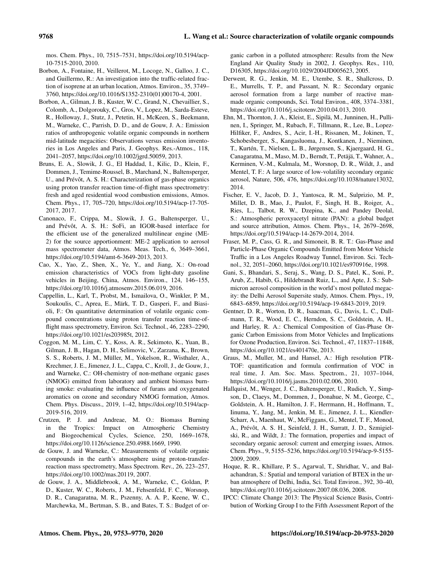mos. Chem. Phys., 10, 7515–7531, https://doi.org/10.5194/acp-10-7515-2010, 2010.

- Borbon, A., Fontaine, H., Veillerot, M., Locoge, N., Galloo, J. C., and Guillermo, R.: An investigation into the traffic-related fraction of isoprene at an urban location, Atmos. Environ., 35, 3749– 3760, https://doi.org/10.1016/S1352-2310(01)00170-4, 2001.
- Borbon, A., Gilman, J. B., Kuster, W. C., Grand, N., Chevaillier, S., Colomb, A., Dolgorouky, C., Gros, V., Lopez, M., Sarda-Esteve, R., Holloway, J., Stutz, J., Petetin, H., McKeen, S., Beekmann, M., Warneke, C., Parrish, D. D., and de Gouw, J. A.: Emission ratios of anthropogenic volatile organic compounds in northern mid-latitude megacities: Observations versus emission inventories in Los Angeles and Paris, J. Geophys. Res.-Atmos., 118, 2041–2057, https://doi.org/10.1002/jgrd.50059, 2013.
- Bruns, E. A., Slowik, J. G., El Haddad, I., Kilic, D., Klein, F., Dommen, J., Temime-Roussel, B., Marchand, N., Baltensperger, U., and Prévôt, A. S. H.: Characterization of gas-phase organics using proton transfer reaction time-of-flight mass spectrometry: fresh and aged residential wood combustion emissions, Atmos. Chem. Phys., 17, 705–720, https://doi.org/10.5194/acp-17-705- 2017, 2017.
- Canonaco, F., Crippa, M., Slowik, J. G., Baltensperger, U., and Prévôt, A. S. H.: SoFi, an IGOR-based interface for the efficient use of the generalized multilinear engine (ME-2) for the source apportionment: ME-2 application to aerosol mass spectrometer data, Atmos. Meas. Tech., 6, 3649–3661, https://doi.org/10.5194/amt-6-3649-2013, 2013.
- Cao, X., Yao, Z., Shen, X., Ye, Y., and Jiang, X.: On-road emission characteristics of VOCs from light-duty gasoline vehicles in Beijing, China, Atmos. Environ., 124, 146–155, https://doi.org/10.1016/j.atmosenv.2015.06.019, 2016.
- Cappellin, L., Karl, T., Probst, M., Ismailova, O., Winkler, P. M., Soukoulis, C., Aprea, E., Märk, T. D., Gasperi, F., and Biasioli, F.: On quantitative determination of volatile organic compound concentrations using proton transfer reaction time-offlight mass spectrometry, Environ. Sci. Technol., 46, 2283–2290, https://doi.org/10.1021/es203985t, 2012.
- Coggon, M. M., Lim, C. Y., Koss, A. R., Sekimoto, K., Yuan, B., Gilman, J. B., Hagan, D. H., Selimovic, V., Zarzana, K., Brown, S. S., Roberts, J. M., Müller, M., Yokelson, R., Wisthaler, A., Krechmer, J. E., Jimenez, J. L., Cappa, C., Kroll, J., de Gouw, J., and Warneke, C.: OH-chemistry of non-methane organic gases (NMOG) emitted from laboratory and ambient biomass burning smoke: evaluating the influence of furans and oxygenated aromatics on ozone and secondary NMOG formation, Atmos. Chem. Phys. Discuss., 2019, 1–42, https://doi.org/10.5194/acp-2019-516, 2019.
- Crutzen, P. J. and Andreae, M. O.: Biomass Burning in the Tropics: Impact on Atmospheric Chemistry and Biogeochemical Cycles, Science, 250, 1669–1678, https://doi.org/10.1126/science.250.4988.1669, 1990.
- de Gouw, J. and Warneke, C.: Measurements of volatile organic compounds in the earth's atmosphere using proton-transferreaction mass spectrometry, Mass Spectrom. Rev., 26, 223–257, https://doi.org/10.1002/mas.20119, 2007.
- de Gouw, J. A., Middlebrook, A. M., Warneke, C., Goldan, P. D., Kuster, W. C., Roberts, J. M., Fehsenfeld, F. C., Worsnop, D. R., Canagaratna, M. R., Pszenny, A. A. P., Keene, W. C., Marchewka, M., Bertman, S. B., and Bates, T. S.: Budget of or-

ganic carbon in a polluted atmosphere: Results from the New England Air Quality Study in 2002, J. Geophys. Res., 110, D16305, https://doi.org/10.1029/2004JD005623, 2005.

- Derwent, R. G., Jenkin, M. E., Utembe, S. R., Shallcross, D. E., Murrells, T. P., and Passant, N. R.: Secondary organic aerosol formation from a large number of reactive manmade organic compounds, Sci. Total Environ., 408, 3374–3381, https://doi.org/10.1016/j.scitotenv.2010.04.013, 2010.
- Ehn, M., Thornton, J. A., Kleist, E., Sipilä, M., Junninen, H., Pullinen, I., Springer, M., Rubach, F., Tillmann, R., Lee, B., Lopez-Hilfiker, F., Andres, S., Acir, I.-H., Rissanen, M., Jokinen, T., Schobesberger, S., Kangasluoma, J., Kontkanen, J., Nieminen, T., Kurtén, T., Nielsen, L. B., Jørgensen, S., Kjaergaard, H. G., Canagaratna, M., Maso, M. D., Berndt, T., Petäjä, T., Wahner, A., Kerminen, V.-M., Kulmala, M., Worsnop, D. R., Wildt, J., and Mentel, T. F.: A large source of low-volatility secondary organic aerosol, Nature, 506, 476, https://doi.org/10.1038/nature13032, 2014.
- Fischer, E. V., Jacob, D. J., Yantosca, R. M., Sulprizio, M. P., Millet, D. B., Mao, J., Paulot, F., Singh, H. B., Roiger, A., Ries, L., Talbot, R. W., Dzepina, K., and Pandey Deolal, S.: Atmospheric peroxyacetyl nitrate (PAN): a global budget and source attribution, Atmos. Chem. Phys., 14, 2679–2698, https://doi.org/10.5194/acp-14-2679-2014, 2014.
- Fraser, M. P., Cass, G. R., and Simoneit, B. R. T.: Gas-Phase and Particle-Phase Organic Compounds Emitted from Motor Vehicle Traffic in a Los Angeles Roadway Tunnel, Environ. Sci. Technol., 32, 2051–2060, https://doi.org/10.1021/es970916e, 1998.
- Gani, S., Bhandari, S., Seraj, S., Wang, D. S., Patel, K., Soni, P., Arub, Z., Habib, G., Hildebrandt Ruiz, L., and Apte, J. S.: Submicron aerosol composition in the world's most polluted megacity: the Delhi Aerosol Supersite study, Atmos. Chem. Phys., 19, 6843–6859, https://doi.org/10.5194/acp-19-6843-2019, 2019.
- Gentner, D. R., Worton, D. R., Isaacman, G., Davis, L. C., Dallmann, T. R., Wood, E. C., Herndon, S. C., Goldstein, A. H., and Harley, R. A.: Chemical Composition of Gas-Phase Organic Carbon Emissions from Motor Vehicles and Implications for Ozone Production, Environ. Sci. Technol., 47, 11837–11848, https://doi.org/10.1021/es401470e, 2013.
- Graus, M., Muller, M., and Hansel, A.: High resolution PTR-TOF: quantification and formula confirmation of VOC in real time, J. Am. Soc. Mass. Spectrom., 21, 1037–1044, https://doi.org/10.1016/j.jasms.2010.02.006, 2010.
- Hallquist, M., Wenger, J. C., Baltensperger, U., Rudich, Y., Simpson, D., Claeys, M., Dommen, J., Donahue, N. M., George, C., Goldstein, A. H., Hamilton, J. F., Herrmann, H., Hoffmann, T., Iinuma, Y., Jang, M., Jenkin, M. E., Jimenez, J. L., Kiendler-Scharr, A., Maenhaut, W., McFiggans, G., Mentel, T. F., Monod, A., Prévôt, A. S. H., Seinfeld, J. H., Surratt, J. D., Szmigielski, R., and Wildt, J.: The formation, properties and impact of secondary organic aerosol: current and emerging issues, Atmos. Chem. Phys., 9, 5155–5236, https://doi.org/10.5194/acp-9-5155- 2009, 2009.
- Hoque, R. R., Khillare, P. S., Agarwal, T., Shridhar, V., and Balachandran, S.: Spatial and temporal variation of BTEX in the urban atmosphere of Delhi, India, Sci. Total Environ., 392, 30–40, https://doi.org/10.1016/j.scitotenv.2007.08.036, 2008.
- IPCC: Climate Change 2013: The Physical Science Basis, Contribution of Working Group I to the Fifth Assessment Report of the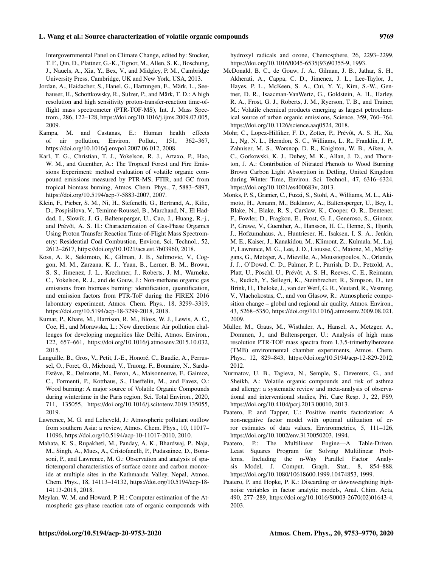# Intergovernmental Panel on Climate Change, edited by: Stocker, T. F., Qin, D., Plattner, G.-K., Tignor, M., Allen, S. K., Boschung, J., Nauels, A., Xia, Y., Bex, V., and Midgley, P. M., Cambridge University Press, Cambridge, UK and New York, USA, 2013.

- Jordan, A., Haidacher, S., Hanel, G., Hartungen, E., Märk, L., Seehauser, H., Schottkowsky, R., Sulzer, P., and Märk, T. D.: A high resolution and high sensitivity proton-transfer-reaction time-offlight mass spectrometer (PTR-TOF-MS), Int. J. Mass Spectrom., 286, 122–128, https://doi.org/10.1016/j.ijms.2009.07.005, 2009.
- Kampa, M. and Castanas, E.: Human health effects of air pollution, Environ. Pollut., 151, 362–367, https://doi.org/10.1016/j.envpol.2007.06.012, 2008.
- Karl, T. G., Christian, T. J., Yokelson, R. J., Artaxo, P., Hao, W. M., and Guenther, A.: The Tropical Forest and Fire Emissions Experiment: method evaluation of volatile organic compound emissions measured by PTR-MS, FTIR, and GC from tropical biomass burning, Atmos. Chem. Phys., 7, 5883–5897, https://doi.org/10.5194/acp-7-5883-2007, 2007.
- Klein, F., Pieber, S. M., Ni, H., Stefenelli, G., Bertrand, A., Kilic, D., Pospisilova, V., Temime-Roussel, B., Marchand, N., El Haddad, I., Slowik, J. G., Baltensperger, U., Cao, J., Huang, R.-j., and Prévôt, A. S. H.: Characterization of Gas-Phase Organics Using Proton Transfer Reaction Time-of-Flight Mass Spectrometry: Residential Coal Combustion, Environ. Sci. Technol., 52, 2612–2617, https://doi.org/10.1021/acs.est.7b03960, 2018.
- Koss, A. R., Sekimoto, K., Gilman, J. B., Selimovic, V., Coggon, M. M., Zarzana, K. J., Yuan, B., Lerner, B. M., Brown, S. S., Jimenez, J. L., Krechmer, J., Roberts, J. M., Warneke, C., Yokelson, R. J., and de Gouw, J.: Non-methane organic gas emissions from biomass burning: identification, quantification, and emission factors from PTR-ToF during the FIREX 2016 laboratory experiment, Atmos. Chem. Phys., 18, 3299–3319, https://doi.org/10.5194/acp-18-3299-2018, 2018.
- Kumar, P., Khare, M., Harrison, R. M., Bloss, W. J., Lewis, A. C., Coe, H., and Morawska, L.: New directions: Air pollution challenges for developing megacities like Delhi, Atmos. Environ., 122, 657–661, https://doi.org/10.1016/j.atmosenv.2015.10.032, 2015.
- Languille, B., Gros, V., Petit, J.-E., Honoré, C., Baudic, A., Perrussel, O., Foret, G., Michoud, V., Truong, F., Bonnaire, N., Sarda-Estève, R., Delmotte, M., Feron, A., Maisonneuve, F., Gaimoz, C., Formenti, P., Kotthaus, S., Haeffelin, M., and Favez, O.: Wood burning: A major source of Volatile Organic Compounds during wintertime in the Paris region, Sci. Total Environ., 2020, 711, 135055, https://doi.org/10.1016/j.scitotenv.2019.135055, 2019.
- Lawrence, M. G. and Lelieveld, J.: Atmospheric pollutant outflow from southern Asia: a review, Atmos. Chem. Phys., 10, 11017– 11096, https://doi.org/10.5194/acp-10-11017-2010, 2010.
- Mahata, K. S., Rupakheti, M., Panday, A. K., Bhardwaj, P., Naja, M., Singh, A., Mues, A., Cristofanelli, P., Pudasainee, D., Bonasoni, P., and Lawrence, M. G.: Observation and analysis of spatiotemporal characteristics of surface ozone and carbon monoxide at multiple sites in the Kathmandu Valley, Nepal, Atmos. Chem. Phys., 18, 14113–14132, https://doi.org/10.5194/acp-18- 14113-2018, 2018.
- Meylan, W. M. and Howard, P. H.: Computer estimation of the Atmospheric gas-phase reaction rate of organic compounds with

hydroxyl radicals and ozone, Chemosphere, 26, 2293–2299, https://doi.org/10.1016/0045-6535(93)90355-9, 1993.

- McDonald, B. C., de Gouw, J. A., Gilman, J. B., Jathar, S. H., Akherati, A., Cappa, C. D., Jimenez, J. L., Lee-Taylor, J., Hayes, P. L., McKeen, S. A., Cui, Y. Y., Kim, S.-W., Gentner, D. R., Isaacman-VanWertz, G., Goldstein, A. H., Harley, R. A., Frost, G. J., Roberts, J. M., Ryerson, T. B., and Trainer, M.: Volatile chemical products emerging as largest petrochemical source of urban organic emissions, Science, 359, 760–764, https://doi.org/10.1126/science.aaq0524, 2018.
- Mohr, C., Lopez-Hilfiker, F. D., Zotter, P., Prévôt, A. S. H., Xu, L., Ng, N. L., Herndon, S. C., Williams, L. R., Franklin, J. P., Zahniser, M. S., Worsnop, D. R., Knighton, W. B., Aiken, A. C., Gorkowski, K. J., Dubey, M. K., Allan, J. D., and Thornton, J. A.: Contribution of Nitrated Phenols to Wood Burning Brown Carbon Light Absorption in Detling, United Kingdom during Winter Time, Environ. Sci. Technol., 47, 6316–6324, https://doi.org/10.1021/es400683v, 2013.
- Monks, P. S., Granier, C., Fuzzi, S., Stohl, A., Williams, M. L., Akimoto, H., Amann, M., Baklanov, A., Baltensperger, U., Bey, I., Blake, N., Blake, R. S., Carslaw, K., Cooper, O. R., Dentener, F., Fowler, D., Fragkou, E., Frost, G. J., Generoso, S., Ginoux, P., Grewe, V., Guenther, A., Hansson, H. C., Henne, S., Hjorth, J., Hofzumahaus, A., Huntrieser, H., Isaksen, I. S. A., Jenkin, M. E., Kaiser, J., Kanakidou, M., Klimont, Z., Kulmala, M., Laj, P., Lawrence, M. G., Lee, J. D., Liousse, C., Maione, M., McFiggans, G., Metzger, A., Mieville, A., Moussiopoulos, N., Orlando, J. J., O'Dowd, C. D., Palmer, P. I., Parrish, D. D., Petzold, A., Platt, U., Pöschl, U., Prévôt, A. S. H., Reeves, C. E., Reimann, S., Rudich, Y., Sellegri, K., Steinbrecher, R., Simpson, D., ten Brink, H., Theloke, J., van der Werf, G. R., Vautard, R., Vestreng, V., Vlachokostas, C., and von Glasow, R.: Atmospheric composition change – global and regional air quality, Atmos. Environ., 43, 5268–5350, https://doi.org/10.1016/j.atmosenv.2009.08.021, 2009.
- Müller, M., Graus, M., Wisthaler, A., Hansel, A., Metzger, A., Dommen, J., and Baltensperger, U.: Analysis of high mass resolution PTR-TOF mass spectra from 1,3,5-trimethylbenzene (TMB) environmental chamber experiments, Atmos. Chem. Phys., 12, 829–843, https://doi.org/10.5194/acp-12-829-2012, 2012.
- Nurmatov, U. B., Tagieva, N., Semple, S., Devereux, G., and Sheikh, A.: Volatile organic compounds and risk of asthma and allergy: a systematic review and meta-analysis of observational and interventional studies, Pri. Care Resp. J., 22, PS9, https://doi.org/10.4104/pcrj.2013.00010, 2013.
- Paatero, P. and Tapper, U.: Positive matrix factorization: A non-negative factor model with optimal utilization of error estimates of data values, Environmetrics, 5, 111–126, https://doi.org/10.1002/env.3170050203, 1994.
- Paatero, P.: The Multilinear Engine—A Table-Driven, Least Squares Program for Solving Multilinear Problems, Including the n-Way Parallel Factor Analysis Model, J. Comput. Graph. Stat., 8, 854–888, https://doi.org/10.1080/10618600.1999.10474853, 1999.
- Paatero, P. and Hopke, P. K.: Discarding or downweighting highnoise variables in factor analytic models, Anal. Chim. Acta, 490, 277–289, https://doi.org/10.1016/S0003-2670(02)01643-4, 2003.